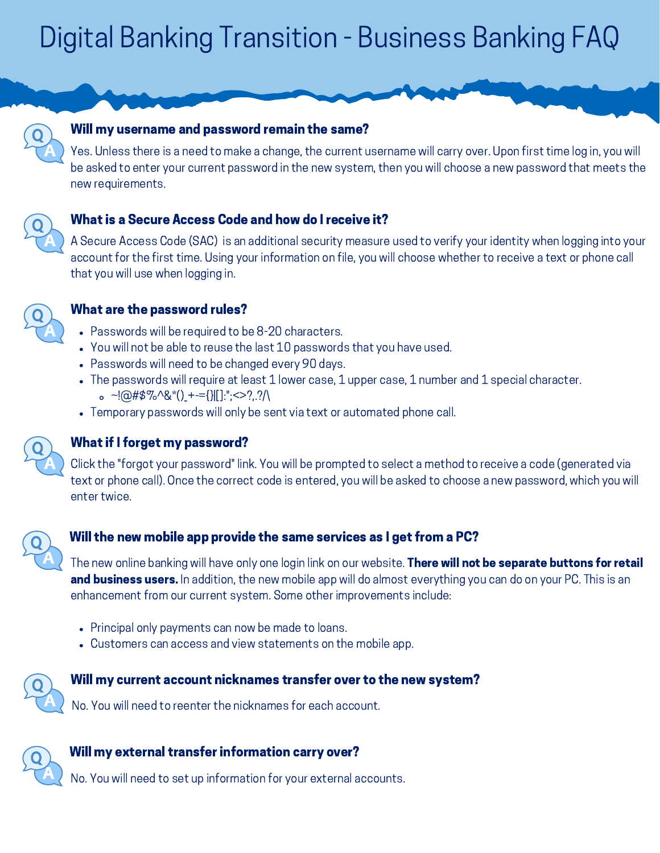# Digital Banking Transition - Business Banking FAQ



#### Will my username and password remain the same?

Yes. Unless there is a need to make a change, the current username will carry over. Upon first time log in, you will be asked to enter your current password in the new system, then you will choose a new password that meets the new requirements.

## What is a Secure Access Code and how do I receive it?

A Secure Access Code (SAC) is an additional security measure used to verify your identity when logging into your account for the first time. Using your information on file, you will choose whether to receive a text or phone call that you will use when logging in.



#### What are the password rules?

- Passwords will be required to be 8-20 characters.
- You will not be able to reuse the last 10 passwords that you have used.
- Passwords will need to be changed every 90 days.
- The passwords will require at least 1 lower case, 1 upper case, 1 number and 1 special character.  $\circ$  ~!@#\$%^&\*() +-={}|[]:";<>?..?/\
- Temporary passwords will only be sent via text or automated phone call.



## What if I forget my password?

Click the "forgot your password" link. You will be prompted to select a method to receive a code (generated via text or phone call). Once the correct code is entered, you will be asked to choose a new password, which you will enter twice.



#### Will the new mobile app provide the same services as I get from a PC?

The new online banking will have only one login link on our website. **There will not be separate buttons for retail** and business users. In addition, the new mobile app will do almost everything you can do on your PC. This is an enhancement from our current system. Some other improvements include:

- Principal only payments can now be made to loans.
- Customers can access and view statements on the mobile app.

#### Will my current account nicknames transfer over to the new system?

No. You will need to reenter the nicknames for each account.



#### Will my external transfer information carry over?

No. You will need to set up information for your external accounts.